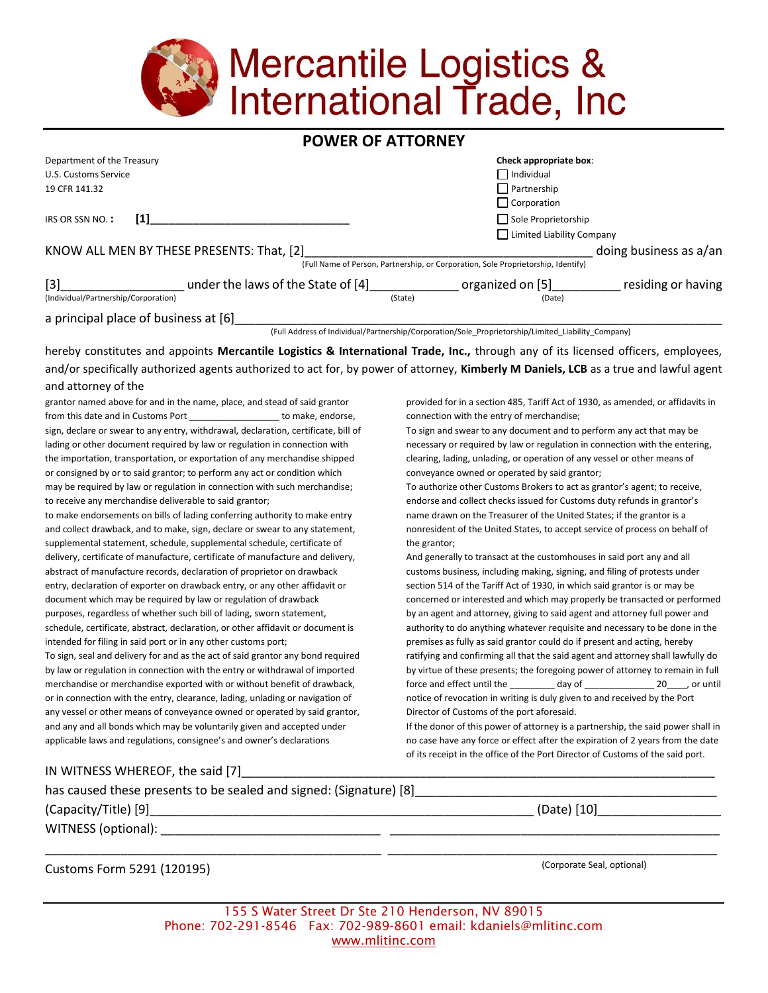## **Mercantile Logistics &<br>International Trade, Inc.**

|                                                                                    | <b>POWER OF ATTORNEY</b>                                                                                                              |
|------------------------------------------------------------------------------------|---------------------------------------------------------------------------------------------------------------------------------------|
| Department of the Treasury                                                         | Check appropriate box:                                                                                                                |
| U.S. Customs Service                                                               | $\Box$ Individual                                                                                                                     |
| 19 CFR 141.32                                                                      | Partnership                                                                                                                           |
|                                                                                    | Corporation                                                                                                                           |
| $[1]$<br>IRS OR SSN NO.:                                                           | Sole Proprietorship                                                                                                                   |
|                                                                                    | Limited Liability Company                                                                                                             |
| KNOW ALL MEN BY THESE PRESENTS: That, [2]                                          | doing business as a/an                                                                                                                |
|                                                                                    | (Full Name of Person, Partnership, or Corporation, Sole Proprietorship, Identify)                                                     |
| $[3]$                                                                              | ___________ under the laws of the State of [4]________________ organized on [5]___________ residing or having                         |
| (Individual/Partnership/Corporation)                                               | (State)<br>(Date)                                                                                                                     |
| a principal place of business at [6] ____                                          |                                                                                                                                       |
|                                                                                    | (Full Address of Individual/Partnership/Corporation/Sole_Proprietorship/Limited_Liability_Company)                                    |
|                                                                                    | hereby constitutes and appoints Mercantile Logistics & International Trade, Inc., through any of its licensed officers, employees,    |
|                                                                                    | and/or specifically authorized agents authorized to act for, by power of attorney, Kimberly M Daniels, LCB as a true and lawful agent |
| and attorney of the                                                                |                                                                                                                                       |
| grantor named above for and in the name, place, and stead of said grantor          | provided for in a section 485, Tariff Act of 1930, as amended, or affidavits in                                                       |
| from this date and in Customs Port _________________________ to make, endorse,     | connection with the entry of merchandise;                                                                                             |
| sign, declare or swear to any entry, withdrawal, declaration, certificate, bill of | To sign and swear to any document and to perform any act that may be                                                                  |
| lading or other document required by law or regulation in connection with          | necessary or required by law or regulation in connection with the entering,                                                           |
| the importation, transportation, or exportation of any merchandise shipped         | clearing, lading, unlading, or operation of any vessel or other means of                                                              |
| or consigned by or to said grantor; to perform any act or condition which          | conveyance owned or operated by said grantor;                                                                                         |
| may be required by law or regulation in connection with such merchandise;          | To authorize other Customs Brokers to act as grantor's agent; to receive,                                                             |

endorse and collect checks issued for Customs duty refunds in grantor's name drawn on the Treasurer of the United States; if the grantor is a nonresident of the United States, to accept service of process on behalf of the grantor;

| And generally to transact at the customhouses in said port any and all          |  |  |
|---------------------------------------------------------------------------------|--|--|
| customs business, including making, signing, and filing of protests under       |  |  |
| section 514 of the Tariff Act of 1930, in which said grantor is or may be       |  |  |
| concerned or interested and which may properly be transacted or performed       |  |  |
| by an agent and attorney, giving to said agent and attorney full power and      |  |  |
| authority to do anything whatever requisite and necessary to be done in the     |  |  |
| premises as fully as said grantor could do if present and acting, hereby        |  |  |
| ratifying and confirming all that the said agent and attorney shall lawfully do |  |  |
| by virtue of these presents; the foregoing power of attorney to remain in full  |  |  |
|                                                                                 |  |  |
| notice of revocation in writing is duly given to and received by the Port       |  |  |
| Director of Customs of the port aforesaid.                                      |  |  |

| If the donor of this power of attorney is a partnership, the said power shall in |
|----------------------------------------------------------------------------------|
| no case have any force or effect after the expiration of 2 years from the date   |
| of its receipt in the office of the Port Director of Customs of the said port.   |

## IN WITNESS WHEREOF, the said [7]

to receive any merchandise deliverable to said grantor;

intended for filing in said port or in any other customs port;

to make endorsements on bills of lading conferring authority to make entry and collect drawback, and to make, sign, declare or swear to any statement, supplemental statement, schedule, supplemental schedule, certificate of delivery, certificate of manufacture, certificate of manufacture and delivery, abstract of manufacture records, declaration of proprietor on drawback entry, declaration of exporter on drawback entry, or any other affidavit or document which may be required by law or regulation of drawback purposes, regardless of whether such bill of lading, sworn statement, schedule, certificate, abstract, declaration, or other affidavit or document is

To sign, seal and delivery for and as the act of said grantor any bond required by law or regulation in connection with the entry or withdrawal of imported merchandise or merchandise exported with or without benefit of drawback, or in connection with the entry, clearance, lading, unlading or navigation of any vessel or other means of conveyance owned or operated by said grantor, and any and all bonds which may be voluntarily given and accepted under applicable laws and regulations, consignee's and owner's declarations

| has caused these presents to be sealed and signed: (Signature) [8] |             |
|--------------------------------------------------------------------|-------------|
| (Capacity/Title) [9]                                               | (Date) [10] |
| WITNESS (optional):                                                |             |

Customs Form 5291 (120195)

(Corporate Seal, optional)

\_\_\_\_\_\_\_\_\_\_\_\_\_\_\_\_\_\_\_\_\_\_\_\_\_\_\_\_\_\_\_\_\_\_\_\_\_\_\_\_\_\_\_\_\_\_\_\_\_ \_\_\_\_\_\_\_\_\_\_\_\_\_\_\_\_\_\_\_\_\_\_\_\_\_\_\_\_\_\_\_\_\_\_\_\_\_\_\_\_\_\_\_\_\_\_\_\_